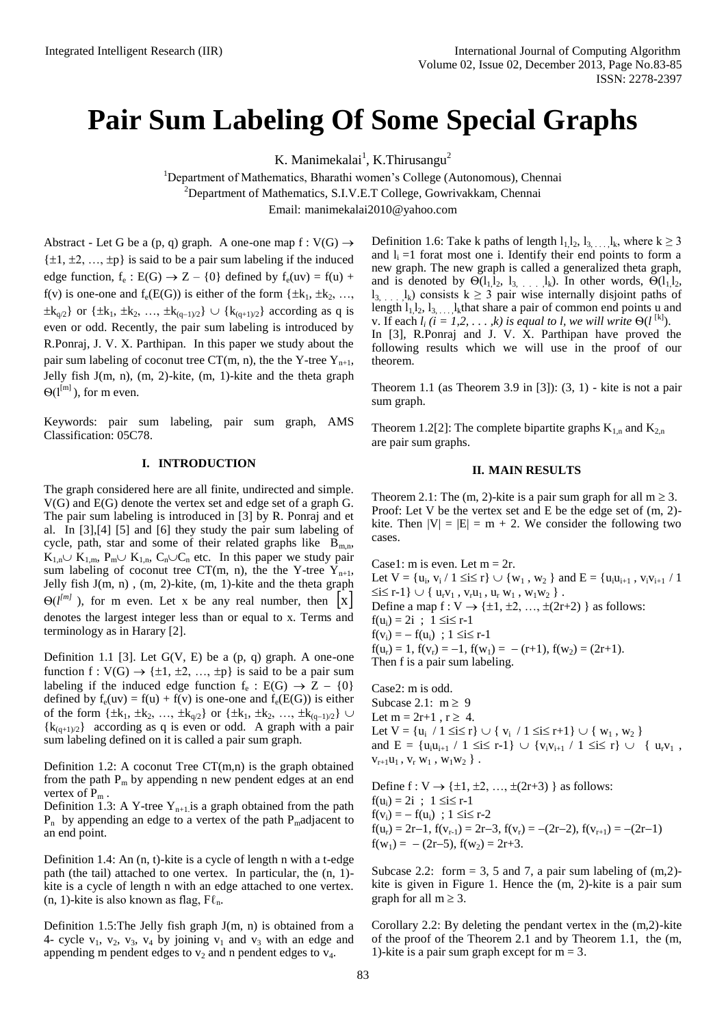## **Pair Sum Labeling Of Some Special Graphs**

K. Manimekalai<sup>1</sup>, K.Thirusangu<sup>2</sup>

<sup>1</sup>Department of Mathematics, Bharathi women's College (Autonomous), Chennai <sup>2</sup>Department of Mathematics, S.I.V.E.T College, Gowrivakkam, Chennai Email: [manimekalai2010@yahoo.com](mailto:manimekalai2010@yahoo.com)

Abstract - Let G be a (p, q) graph. A one-one map  $f: V(G) \rightarrow$  $\{\pm 1, \pm 2, \ldots, \pm p\}$  is said to be a pair sum labeling if the induced edge function,  $f_e : E(G) \rightarrow Z - \{0\}$  defined by  $f_e(uv) = f(u) +$ f(v) is one-one and  $f_e(E(G))$  is either of the form  $\{\pm k_1, \pm k_2, \ldots,$  $\pm k_{q/2}$ } or { $\pm k_1$ ,  $\pm k_2$ , ...,  $\pm k_{(q-1)/2}$ }  $\cup$  { $k_{(q+1)/2}$ } according as q is even or odd. Recently, the pair sum labeling is introduced by R.Ponraj, J. V. X. Parthipan. In this paper we study about the pair sum labeling of coconut tree CT(m, n), the the Y-tree  $Y_{n+1}$ , Jelly fish  $J(m, n)$ ,  $(m, 2)$ -kite,  $(m, 1)$ -kite and the theta graph  $\Theta(l^{[m]})$ , for m even.

Keywords: pair sum labeling, pair sum graph, AMS Classification: 05C78.

## **I. INTRODUCTION**

The graph considered here are all finite, undirected and simple. V(G) and E(G) denote the vertex set and edge set of a graph G. The pair sum labeling is introduced in [3] by R. Ponraj and et al. In [3],[4] [5] and [6] they study the pair sum labeling of cycle, path, star and some of their related graphs like  $B_{mn}$ ,  $K_{1,n} \cup K_{1,m}$ ,  $P_m \cup K_{1,n}$ ,  $C_n \cup C_n$  etc. In this paper we study pair sum labeling of coconut tree CT(m, n), the the Y-tree  $Y_{n+1}$ , Jelly fish  $J(m, n)$ ,  $(m, 2)$ -kite,  $(m, 1)$ -kite and the theta graph  $\Theta(l^{m})$ , for m even. Let x be any real number, then  $x \mid x$ denotes the largest integer less than or equal to x. Terms and terminology as in Harary [2].

Definition 1.1 [3]. Let  $G(V, E)$  be a  $(p, q)$  graph. A one-one function f :  $V(G) \rightarrow \{\pm 1, \pm 2, ..., \pm p\}$  is said to be a pair sum labeling if the induced edge function  $f_e : E(G) \rightarrow Z - \{0\}$ defined by  $f_e(uv) = f(u) + f(v)$  is one-one and  $f_e(E(G))$  is either of the form  $\{\pm k_1, \pm k_2, ..., \pm k_{q/2}\}$  or  $\{\pm k_1, \pm k_2, ..., \pm k_{(q-1)/2}\}$  ${k_{(q+1)/2}}$  according as q is even or odd. A graph with a pair sum labeling defined on it is called a pair sum graph.

Definition 1.2: A coconut Tree  $CT(m,n)$  is the graph obtained from the path  $P_m$  by appending n new pendent edges at an end vertex of  $P_m$ .

Definition 1.3: A Y-tree  $Y_{n+1}$  is a graph obtained from the path  $P_n$  by appending an edge to a vertex of the path  $P_m$ adjacent to an end point.

Definition 1.4: An (n, t)-kite is a cycle of length n with a t-edge path (the tail) attached to one vertex. In particular, the (n, 1) kite is a cycle of length n with an edge attached to one vertex. (n, 1)-kite is also known as flag,  $F\ell_n$ .

Definition 1.5:The Jelly fish graph J(m, n) is obtained from a 4- cycle  $v_1$ ,  $v_2$ ,  $v_3$ ,  $v_4$  by joining  $v_1$  and  $v_3$  with an edge and appending m pendent edges to  $v_2$  and n pendent edges to  $v_4$ .

Definition 1.6: Take k paths of length  $l_1, l_2, l_3, \ldots, l_k$ , where  $k \ge 3$ and  $l_i = 1$  forat most one i. Identify their end points to form a new graph. The new graph is called a generalized theta graph, and is denoted by  $\Theta(1_1, 1_2, 1_3, \ldots, 1_k)$ . In other words,  $\Theta(1_1, 1_2, \ldots, 1_k)$  $l_3, \ldots, l_k$ ) consists  $k \geq 3$  pair wise internally disjoint paths of length  $l_1, l_2, l_3, \ldots, l_k$ that share a pair of common end points u and v. If each  $l_i$  ( $i = 1, 2, ..., k$ ) is equal to l, we will write  $\Theta(l^{[k]})$ . In [3], R.Ponraj and J. V. X. Parthipan have proved the following results which we will use in the proof of our theorem.

Theorem 1.1 (as Theorem 3.9 in [3]): (3, 1) - kite is not a pair sum graph.

Theorem 1.2[2]: The complete bipartite graphs  $K_{1,n}$  and  $K_{2,n}$ are pair sum graphs.

## **II. MAIN RESULTS**

Theorem 2.1: The (m, 2)-kite is a pair sum graph for all  $m \ge 3$ . Proof: Let V be the vertex set and E be the edge set of (m, 2) kite. Then  $|V| = |E| = m + 2$ . We consider the following two cases.

Case1: m is even. Let  $m = 2r$ . Let  $V = \{u_i, v_i / 1 \le i \le r\} \cup \{w_1, w_2\}$  and  $E = \{u_i u_{i+1}, v_i v_{i+1} / 1$  $\leq i \leq r-1$  }  $\cup$  {  $u_rv_1$ ,  $v_ru_1$ ,  $u_r w_1$ ,  $w_1w_2$  }. Define a map  $f: V \rightarrow \{\pm 1, \pm 2, ..., \pm (2r+2)\}$  as follows:  $f(u_i) = 2i$ ;  $1 \le i \le r-1$  $f(v_i) = -f(u_i)$ ;  $1 \le i \le r-1$  $f(u_r) = 1$ ,  $f(v_r) = -1$ ,  $f(w_1) = -(r+1)$ ,  $f(w_2) = (2r+1)$ . Then f is a pair sum labeling.

Case2: m is odd. Subcase 2.1:  $m \ge 9$ Let  $m = 2r+1$ ,  $r \geq 4$ . Let  $V = \{u_i / 1 \le i \le r\} \cup \{v_i / 1 \le i \le r+1\} \cup \{w_1, w_2\}$ and  $E = {u_i u_{i+1} / 1 \le i \le r-1} \cup {v_i v_{i+1} / 1 \le i \le r} \cup { u_r v_1 },$  $v_{r+1}u_1$ ,  $v_r w_1$ ,  $w_1 w_2$ }.

Define  $f: V \rightarrow \{\pm 1, \pm 2, \ldots, \pm (2r+3)\}$  as follows:  $f(u_i) = 2i$ ;  $1 \le i \le r-1$  $f(v_i) = -f(u_i)$ ; 1  $\le i \le r-2$  $f(u_r) = 2r-1$ ,  $f(v_{r-1}) = 2r-3$ ,  $f(v_r) = -(2r-2)$ ,  $f(v_{r+1}) = -(2r-1)$  $f(w_1) = -(2r-5), f(w_2) = 2r+3.$ 

Subcase 2.2: form  $= 3, 5$  and 7, a pair sum labeling of  $(m,2)$ kite is given in Figure 1. Hence the (m, 2)-kite is a pair sum graph for all  $m \geq 3$ .

Corollary 2.2: By deleting the pendant vertex in the (m,2)-kite of the proof of the Theorem 2.1 and by Theorem 1.1, the (m, 1)-kite is a pair sum graph except for  $m = 3$ .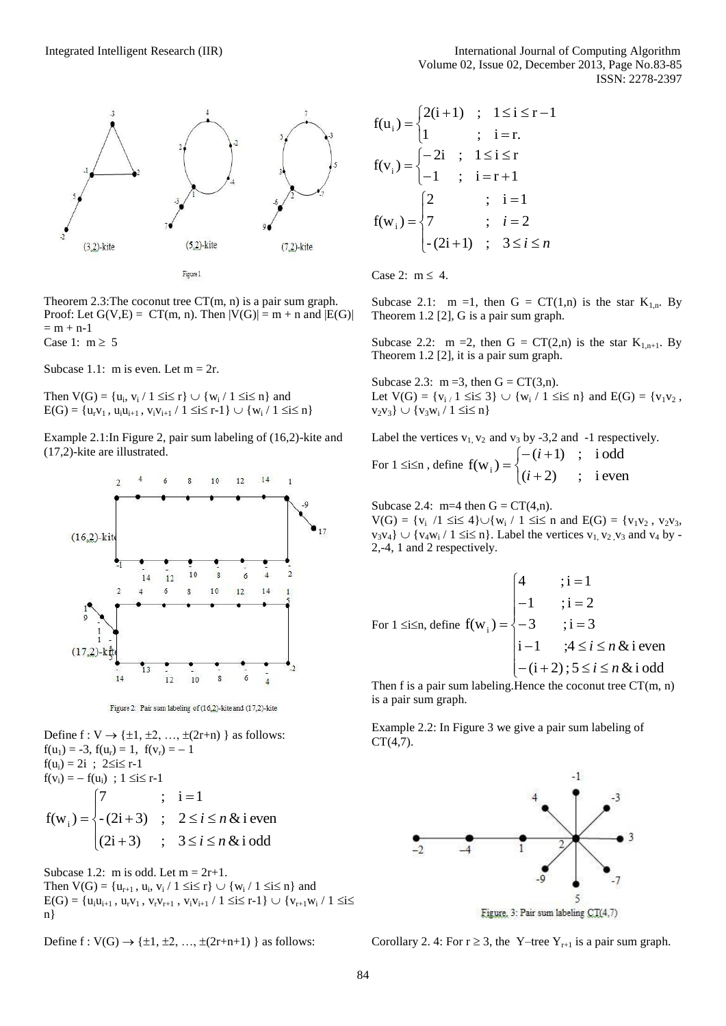

Theorem 2.3:The coconut tree CT(m, n) is a pair sum graph. Proof: Let  $G(V,E) = CT(m, n)$ . Then  $|V(G)| = m + n$  and  $|E(G)|$  $= m + n-1$ Case 1:  $m \geq 5$ 

Subcase 1.1: m is even. Let  $m = 2r$ .

Then  $V(G) = \{u_i, v_i / 1 \le i \le r\} \cup \{w_i / 1 \le i \le n\}$  and  $E(G) = \{u_r v_1, u_i u_{i+1}, v_i v_{i+1} / 1 \le i \le r-1\} \cup \{w_i / 1 \le i \le n\}$ 

Example 2.1:In Figure 2, pair sum labeling of (16,2)-kite and (17,2)-kite are illustrated.



Figure 2: Pair sum labeling of (16,2)-kite and (17,2)-kite

Define  $f: V \rightarrow \{\pm 1, \pm 2, \ldots, \pm (2r+n)\}$  as follows:  $f(u_1) = -3$ ,  $f(u_r) = 1$ ,  $f(v_r) = -1$  $f(u_i) = 2i$ ;  $2 \le i \le r-1$  $f(v_i) = -f(u_i)$ ; 1  $\le i \le r-1$  $\begin{cases} (2i+3) & ; \quad 3 \leq i \leq n \& \text{if odd} \end{cases}$  $\overline{ }$ ⇃  $\left\lceil \right\rceil$  $f(w_i) = \begin{cases} -(2i+3) \\ ; \\ 2 \le i \le n \end{cases}$  & i even 7 ;  $i = 1$ 

Subcase 1.2: m is odd. Let  $m = 2r+1$ . Then  $V(G) = \{u_{r+1}, u_i, v_i / 1 \le i \le r\} \cup \{w_i / 1 \le i \le n\}$  and  $E(G) = \{u_iu_{i+1}, u_rv_1, v_rv_{r+1}, v_iv_{i+1} / 1 \le i \le r-1\} \cup \{v_{r+1}w_i / 1 \le i \le r-1\}$ n}

Define  $f : V(G) \to \{\pm 1, \pm 2, ..., \pm (2r+n+1)\}$  as follows:

$$
f(u_i) = \begin{cases} 2(i+1) & ; 1 \le i \le r-1 \\ 1 & ; i = r. \end{cases}
$$
  
\n
$$
f(v_i) = \begin{cases} -2i & ; 1 \le i \le r \\ -1 & ; i = r+1 \end{cases}
$$
  
\n
$$
f(w_i) = \begin{cases} 2 & ; i = 1 \\ 7 & ; i = 2 \\ -(2i+1) & ; 3 \le i \le n \end{cases}
$$

Case 2:  $m \leq 4$ .

Subcase 2.1:  $m =1$ , then  $G = CT(1,n)$  is the star  $K_{1,n}$ . By Theorem 1.2 [2], G is a pair sum graph.

Subcase 2.2: m = 2, then  $G = CT(2,n)$  is the star  $K_{1,n+1}$ . By Theorem 1.2 [2], it is a pair sum graph.

Subcase 2.3:  $m = 3$ , then  $G = CT(3,n)$ . Let  $V(G) = \{v_{i} \mid 1 \le i \le 3\} \cup \{w_i \mid 1 \le i \le n\}$  and  $E(G) = \{v_1v_2,$  $v_2v_3$   $\cup$   $\{v_3w_i / 1 \le i \le n\}$ 

Label the vertices  $v_1$ ,  $v_2$  and  $v_3$  by -3,2 and -1 respectively. For  $1 \leq i \leq n$ , define  $\overline{\mathcal{L}}$ ┤  $\int$  $\overline{+}$  $-(i +$  $=$  $(i+2)$  ; i even  $(i+1)$  ; i odd  $f(w_i) = \begin{cases} i \\ i \end{cases}$ *i*

Subcase 2.4:  $m=4$  then  $G = CT(4,n)$ .  $V(G) = \{v_i / 1 \le i \le 4\} \cup \{w_i / 1 \le i \le n \text{ and } E(G) = \{v_1v_2, v_2v_3, v_1v_2, v_2v_3, v_3v_4\}$  $v_3v_4$   $\cup$  { $v_4w_1 / 1 \le i \le n$ }. Label the vertices  $v_1, v_2, v_3$  and  $v_4$  by -2,-4, 1 and 2 respectively.

For 
$$
1 \le i \le n
$$
, define  $f(w_i) = \begin{cases} 4 & i = 1 \\ -1 & i = 2 \\ -3 & i = 3 \\ i - 1 & ; 4 \le i \le n \& i \text{ even} \\ -(i + 2); 5 \le i \le n \& i \text{ odd} \end{cases}$ 

Then f is a pair sum labeling. Hence the coconut tree  $CT(m, n)$ is a pair sum graph.

Example 2.2: In Figure 3 we give a pair sum labeling of  $CT(4.7)$ .



Corollary 2. 4: For  $r \geq 3$ , the Y–tree Y<sub>r+1</sub> is a pair sum graph.